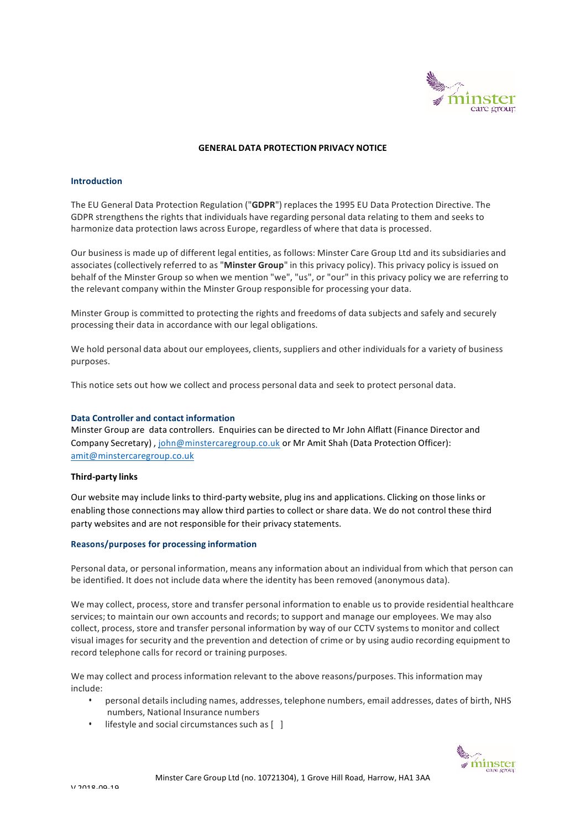

### **GENERAL DATA PROTECTION PRIVACY NOTICE**

### **Introduction**

The EU General Data Protection Regulation ("**GDPR**") replaces the 1995 EU Data Protection Directive. The GDPR strengthensthe rights that individuals have regarding personal data relating to them and seeks to harmonize data protection laws across Europe, regardless of where that data is processed.

Our business is made up of different legal entities, as follows: Minster Care Group Ltd and its subsidiaries and associates(collectively referred to as "**Minster Group**" in this privacy policy). This privacy policy is issued on behalf of the Minster Group so when we mention "we", "us", or "our" in this privacy policy we are referring to the relevant company within the Minster Group responsible for processing your data.

Minster Group is committed to protecting the rights and freedoms of data subjects and safely and securely processing their data in accordance with our legal obligations.

We hold personal data about our employees, clients, suppliers and other individuals for a variety of business purposes.

This notice sets out how we collect and process personal data and seek to protect personal data.

## **Data Controller and contact information**

Minster Group are data controllers. Enquiries can be directed to Mr John Alflatt (Finance Director and Company Secretary) , john@minstercaregroup.co.uk or Mr Amit Shah (Data Protection Officer): amit@minstercaregroup.co.uk

# **Third-party links**

Our website may include links to third-party website, plug ins and applications. Clicking on those links or enabling those connections may allow third parties to collect or share data. We do not control these third party websites and are not responsible for their privacy statements.

### **Reasons/purposes for processing information**

Personal data, or personal information, means any information about an individual from which that person can be identified. It does not include data where the identity has been removed (anonymous data).

We may collect, process, store and transfer personal information to enable us to provide residential healthcare services; to maintain our own accounts and records; to support and manage our employees. We may also collect, process, store and transfer personal information by way of our CCTV systems to monitor and collect visual images for security and the prevention and detection of crime or by using audio recording equipment to record telephone calls for record or training purposes.

We may collect and process information relevant to the above reasons/purposes. This information may include:

- personal details including names, addresses, telephone numbers, email addresses, dates of birth, NHS numbers, National Insurance numbers
- $\cdot$  lifestyle and social circumstances such as  $\begin{bmatrix} 1 \end{bmatrix}$

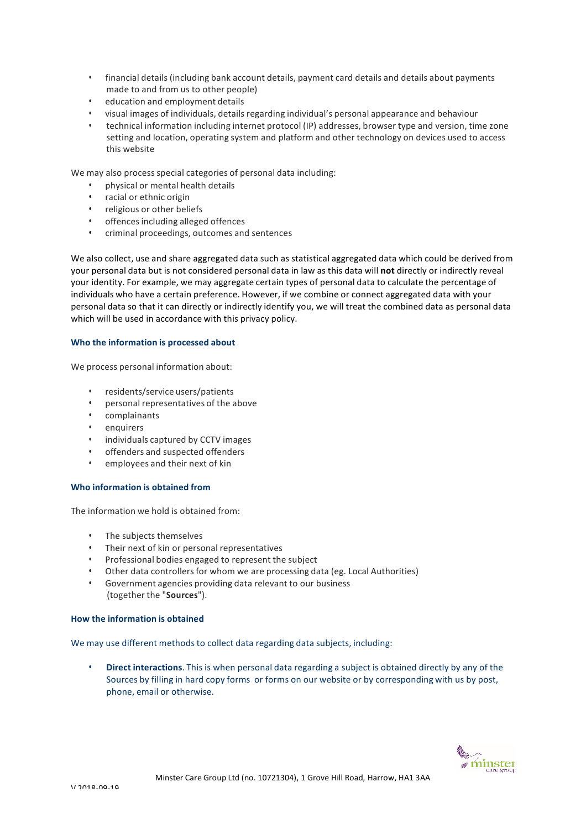- financial details (including bank account details, payment card details and details about payments made to and from us to other people)
- education and employment details
- visual images of individuals, details regarding individual's personal appearance and behaviour
- technical information including internet protocol (IP) addresses, browser type and version, time zone setting and location, operating system and platform and other technology on devices used to access this website

We may also process special categories of personal data including:

- physical or mental health details
- racial or ethnic origin
- religious or other beliefs
- offences including alleged offences
- criminal proceedings, outcomes and sentences

We also collect, use and share aggregated data such as statistical aggregated data which could be derived from your personal data but is not considered personal data in law as this data will **not** directly or indirectly reveal your identity. For example, we may aggregate certain types of personal data to calculate the percentage of individuals who have a certain preference. However, if we combine or connect aggregated data with your personal data so that it can directly or indirectly identify you, we will treat the combined data as personal data which will be used in accordance with this privacy policy.

# **Who the information is processed about**

We process personal information about:

- residents/service users/patients
- personal representatives of the above
- complainants
- enquirers
- individuals captured by CCTV images
- offenders and suspected offenders
- employees and their next of kin

# **Who information is obtained from**

The information we hold is obtained from:

- The subjects themselves
- Their next of kin or personal representatives
- Professional bodies engaged to represent the subject
- Other data controllers for whom we are processing data (eg. Local Authorities)
- Government agencies providing data relevant to our business (together the "**Sources**").

# **How the information is obtained**

We may use different methods to collect data regarding data subjects, including:

• **Direct interactions**. This is when personal data regarding a subject is obtained directly by any of the Sources by filling in hard copy forms or forms on our website or by corresponding with us by post, phone, email or otherwise.

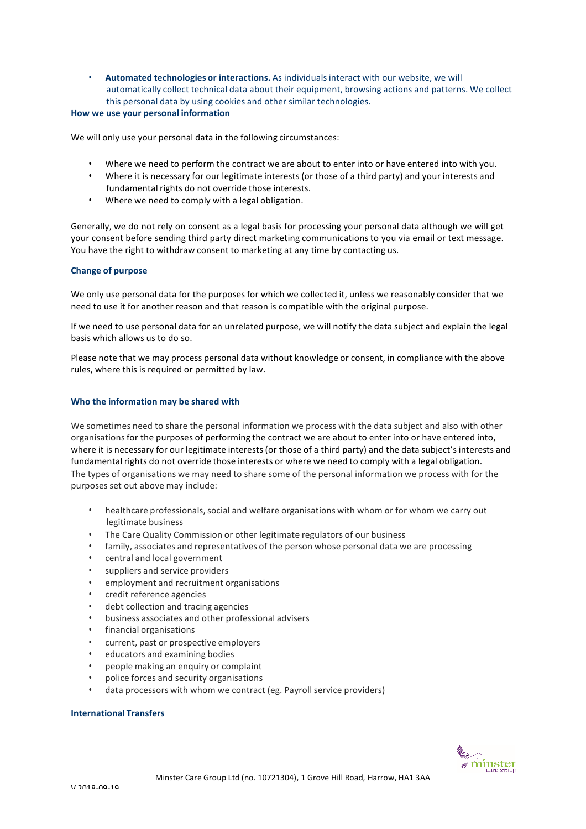• **Automated technologies or interactions.** As individualsinteract with our website, we will automatically collect technical data about their equipment, browsing actions and patterns. We collect this personal data by using cookies and other similar technologies.

### **How we use your personal information**

We will only use your personal data in the following circumstances:

- Where we need to perform the contract we are about to enter into or have entered into with you.
- Where it is necessary for our legitimate interests (or those of a third party) and your interests and fundamental rights do not override those interests.
- Where we need to comply with a legal obligation.

Generally, we do not rely on consent as a legal basis for processing your personal data although we will get your consent before sending third party direct marketing communicationsto you via email or text message. You have the right to withdraw consent to marketing at any time by contacting us.

## **Change of purpose**

We only use personal data for the purposes for which we collected it, unless we reasonably consider that we need to use it for another reason and that reason is compatible with the original purpose.

If we need to use personal data for an unrelated purpose, we will notify the data subject and explain the legal basis which allows us to do so.

Please note that we may process personal data without knowledge or consent, in compliance with the above rules, where this is required or permitted by law.

# **Who the information may be shared with**

We sometimes need to share the personal information we process with the data subject and also with other organisationsfor the purposes of performing the contract we are about to enter into or have entered into, where it is necessary for our legitimate interests (or those of a third party) and the data subject's interests and fundamental rights do not override those interests or where we need to comply with a legal obligation. The types of organisations we may need to share some of the personal information we process with for the purposes set out above may include:

- healthcare professionals, social and welfare organisations with whom or for whom we carry out legitimate business
- The Care Quality Commission or other legitimate regulators of our business
- family, associates and representatives of the person whose personal data we are processing
- central and local government
- suppliers and service providers
- employment and recruitment organisations
- credit reference agencies
- debt collection and tracing agencies
- business associates and other professional advisers
- financial organisations
- current, past or prospective employers
- educators and examining bodies
- people making an enquiry or complaint
- police forces and security organisations
- data processors with whom we contract (eg. Payroll service providers)

### **International Transfers**

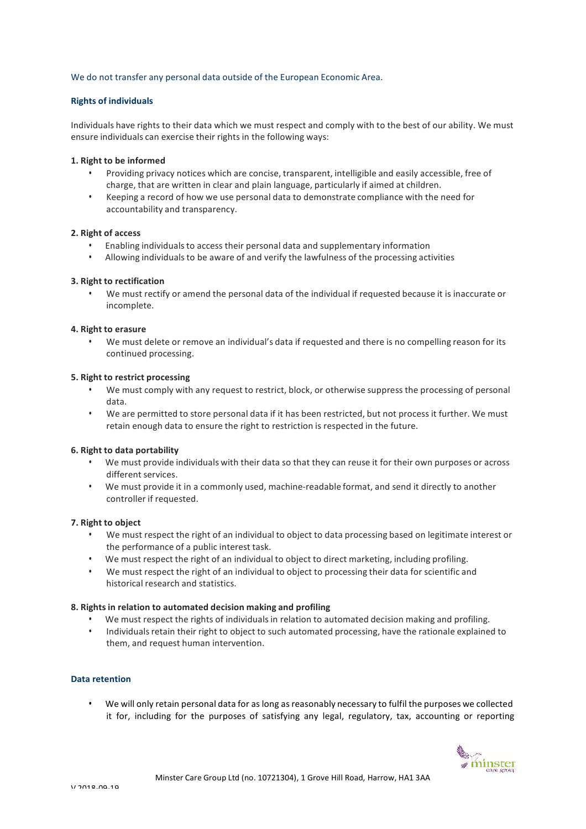# We do not transfer any personal data outside of the European Economic Area.

# **Rights of individuals**

Individuals have rights to their data which we must respect and comply with to the best of our ability. We must ensure individuals can exercise their rights in the following ways:

### **1. Right to be informed**

- Providing privacy notices which are concise, transparent, intelligible and easily accessible, free of charge, that are written in clear and plain language, particularly if aimed at children.
- Keeping a record of how we use personal data to demonstrate compliance with the need for accountability and transparency.

# **2. Right of access**

- Enabling individualsto access their personal data and supplementary information
- Allowing individualsto be aware of and verify the lawfulness of the processing activities

## **3. Right to rectification**

• We must rectify or amend the personal data of the individual if requested because it is inaccurate or incomplete.

## **4. Right to erasure**

• We must delete or remove an individual's data if requested and there is no compelling reason for its continued processing.

### **5. Right to restrict processing**

- We must comply with any request to restrict, block, or otherwise suppress the processing of personal data.
- We are permitted to store personal data if it has been restricted, but not process it further. We must retain enough data to ensure the right to restriction is respected in the future.

### **6. Right to data portability**

- We must provide individuals with their data so that they can reuse it for their own purposes or across different services.
- We must provide it in a commonly used, machine-readable format, and send it directly to another controller if requested.

### **7. Right to object**

- We must respect the right of an individual to object to data processing based on legitimate interest or the performance of a public interest task.
- We must respect the right of an individual to object to direct marketing, including profiling.
- We must respect the right of an individual to object to processing their data for scientific and historical research and statistics.

### **8. Rights in relation to automated decision making and profiling**

- We must respect the rights of individuals in relation to automated decision making and profiling.
- Individuals retain their right to object to such automated processing, have the rationale explained to them, and request human intervention.

### **Data retention**

• We will only retain personal data for as long as reasonably necessary to fulfil the purposes we collected it for, including for the purposes of satisfying any legal, regulatory, tax, accounting or reporting